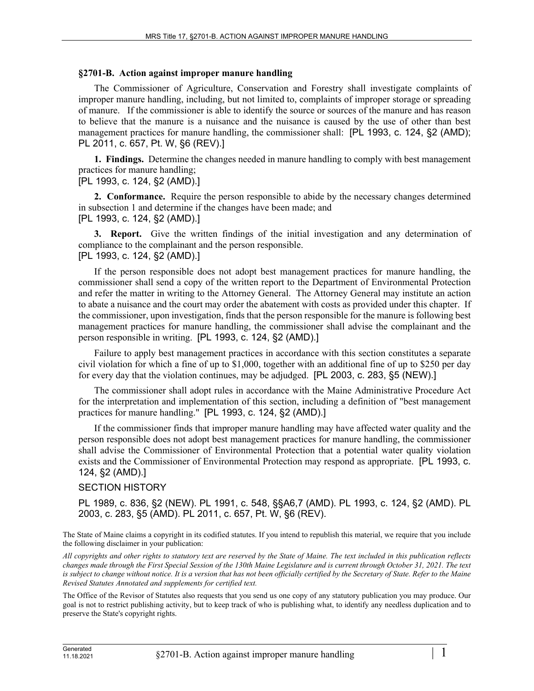## **§2701-B. Action against improper manure handling**

The Commissioner of Agriculture, Conservation and Forestry shall investigate complaints of improper manure handling, including, but not limited to, complaints of improper storage or spreading of manure. If the commissioner is able to identify the source or sources of the manure and has reason to believe that the manure is a nuisance and the nuisance is caused by the use of other than best management practices for manure handling, the commissioner shall: [PL 1993, c. 124, §2 (AMD); PL 2011, c. 657, Pt. W, §6 (REV).]

**1. Findings.** Determine the changes needed in manure handling to comply with best management practices for manure handling;

## [PL 1993, c. 124, §2 (AMD).]

**2. Conformance.** Require the person responsible to abide by the necessary changes determined in subsection 1 and determine if the changes have been made; and [PL 1993, c. 124, §2 (AMD).]

**3. Report.** Give the written findings of the initial investigation and any determination of compliance to the complainant and the person responsible. [PL 1993, c. 124, §2 (AMD).]

If the person responsible does not adopt best management practices for manure handling, the commissioner shall send a copy of the written report to the Department of Environmental Protection and refer the matter in writing to the Attorney General. The Attorney General may institute an action to abate a nuisance and the court may order the abatement with costs as provided under this chapter. If the commissioner, upon investigation, finds that the person responsible for the manure is following best management practices for manure handling, the commissioner shall advise the complainant and the person responsible in writing. [PL 1993, c. 124, §2 (AMD).]

Failure to apply best management practices in accordance with this section constitutes a separate civil violation for which a fine of up to \$1,000, together with an additional fine of up to \$250 per day for every day that the violation continues, may be adjudged. [PL 2003, c. 283, §5 (NEW).]

The commissioner shall adopt rules in accordance with the Maine Administrative Procedure Act for the interpretation and implementation of this section, including a definition of "best management practices for manure handling." [PL 1993, c. 124, §2 (AMD).]

If the commissioner finds that improper manure handling may have affected water quality and the person responsible does not adopt best management practices for manure handling, the commissioner shall advise the Commissioner of Environmental Protection that a potential water quality violation exists and the Commissioner of Environmental Protection may respond as appropriate. [PL 1993, c. 124, §2 (AMD).]

## SECTION HISTORY

PL 1989, c. 836, §2 (NEW). PL 1991, c. 548, §§A6,7 (AMD). PL 1993, c. 124, §2 (AMD). PL 2003, c. 283, §5 (AMD). PL 2011, c. 657, Pt. W, §6 (REV).

The State of Maine claims a copyright in its codified statutes. If you intend to republish this material, we require that you include the following disclaimer in your publication:

*All copyrights and other rights to statutory text are reserved by the State of Maine. The text included in this publication reflects changes made through the First Special Session of the 130th Maine Legislature and is current through October 31, 2021. The text*  is subject to change without notice. It is a version that has not been officially certified by the Secretary of State. Refer to the Maine *Revised Statutes Annotated and supplements for certified text.*

The Office of the Revisor of Statutes also requests that you send us one copy of any statutory publication you may produce. Our goal is not to restrict publishing activity, but to keep track of who is publishing what, to identify any needless duplication and to preserve the State's copyright rights.